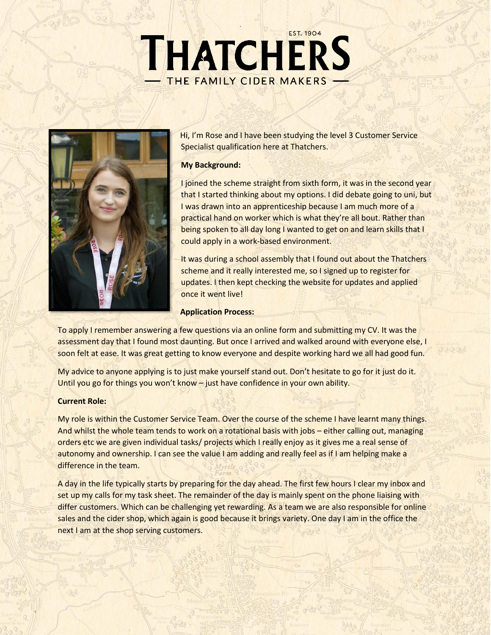# THATCHERS THE FAMILY CIDER MAKERS



Hi, I'm Rose and I have been studying the level 3 Customer Service Specialist qualification here at Thatchers.

## **My Background:**

I joined the scheme straight from sixth form, it was in the second year that I started thinking about my options. I did debate going to uni, but I was drawn into an apprenticeship because I am much more of a practical hand on worker which is what they're all bout. Rather than being spoken to all day long I wanted to get on and learn skills that I could apply in a work-based environment.

It was during a school assembly that I found out about the Thatchers scheme and it really interested me, so I signed up to register for updates. I then kept checking the website for updates and applied once it went live!

## **Application Process:**

To apply I remember answering a few questions via an online form and submitting my CV. It was the assessment day that I found most daunting. But once I arrived and walked around with everyone else, I soon felt at ease. It was great getting to know everyone and despite working hard we all had good fun.

My advice to anyone applying is to just make yourself stand out. Don't hesitate to go for it just do it. Until you go for things you won't know – just have confidence in your own ability.

## **Current Role:**

My role is within the Customer Service Team. Over the course of the scheme I have learnt many things. And whilst the whole team tends to work on a rotational basis with jobs – either calling out, managing orders etc we are given individual tasks/ projects which I really enjoy as it gives me a real sense of autonomy and ownership. I can see the value I am adding and really feel as if I am helping make a difference in the team.

A day in the life typically starts by preparing for the day ahead. The first few hours I clear my inbox and set up my calls for my task sheet. The remainder of the day is mainly spent on the phone liaising with differ customers. Which can be challenging yet rewarding. As a team we are also responsible for online sales and the cider shop, which again is good because it brings variety. One day I am in the office the next I am at the shop serving customers.